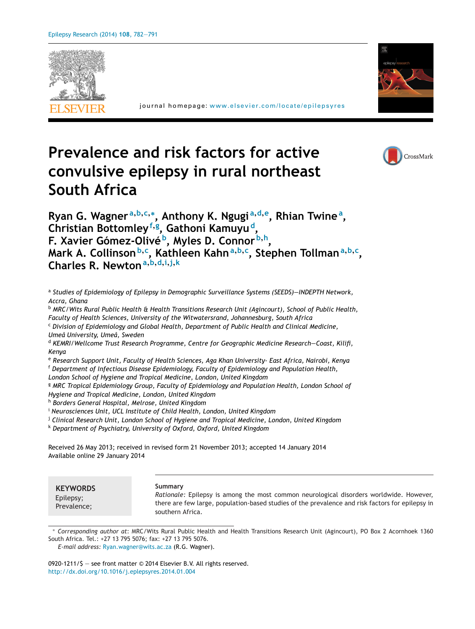



CrossMark

journal homepage: <www.elsevier.com/locate/epilepsyres>

# **Prevalence and risk factors for active convulsive epilepsy in rural northeast South Africa**

**Ryan G. Wagner <sup>a</sup>,b,c,<sup>∗</sup> , Anthony K. Ngugi <sup>a</sup>,d,e, Rhian Twine<sup>a</sup> , Christian Bottomley<sup>f</sup>,<sup>g</sup> , Gathoni Kamuyud, F. Xavier Gómez-Olivé b, Myles D. Connor <sup>b</sup>,h,** Mark A. Collinson<sup>b,c</sup>, Kathleen Kahn<sup>a,b,c</sup>, Stephen Tollman<sup>a,b,c</sup>, **Charles R. Newton<sup>a</sup>,b,d,i,j,<sup>k</sup>**

<sup>a</sup> *Studies of Epidemiology of Epilepsy in Demographic Surveillance Systems (SEEDS)—INDEPTH Network, Accra, Ghana*

<sup>b</sup> *MRC/Wits Rural Public Health & Health Transitions Research Unit (Agincourt), School of Public Health, Faculty of Health Sciences, University of the Witwatersrand, Johannesburg, South Africa*

<sup>c</sup> *Division of Epidemiology and Global Health, Department of Public Health and Clinical Medicine, Umeå University, Umeå, Sweden*

<sup>d</sup> *KEMRI/Wellcome Trust Research Programme, Centre for Geographic Medicine Research—Coast, Kilifi, Kenya*

<sup>e</sup> *Research Support Unit, Faculty of Health Sciences, Aga Khan University- East Africa, Nairobi, Kenya* <sup>f</sup> *Department of Infectious Disease Epidemiology, Faculty of Epidemiology and Population Health,*

*London School of Hygiene and Tropical Medicine, London, United Kingdom*

<sup>g</sup> *MRC Tropical Epidemiology Group, Faculty of Epidemiology and Population Health, London School of Hygiene and Tropical Medicine, London, United Kingdom*

<sup>h</sup> *Borders General Hospital, Melrose, United Kingdom*

<sup>i</sup> *Neurosciences Unit, UCL Institute of Child Health, London, United Kingdom*

<sup>j</sup> *Clinical Research Unit, London School of Hygiene and Tropical Medicine, London, United Kingdom*

<sup>k</sup> *Department of Psychiatry, University of Oxford, Oxford, United Kingdom*

Received 26 May 2013; received in revised form 21 November 2013; accepted 14 January 2014 Available online 29 January 2014

∗ *Corresponding author at*: MRC/Wits Rural Public Health and Health Transitions Research Unit (Agincourt), PO Box 2 Acornhoek 1360 South Africa. Tel.: +27 13 795 5076; fax: +27 13 795 5076.

*E-mail address:* [Ryan.wagner@wits.ac.za](mailto:Ryan.wagner@wits.ac.za) (R.G. Wagner).

0920-1211/\$ — see front matter © 2014 Elsevier B.V. All rights reserved. [http://dx.doi.org/10.1016/j.eplepsyres.2014.01.004](dx.doi.org/10.1016/j.eplepsyres.2014.01.004)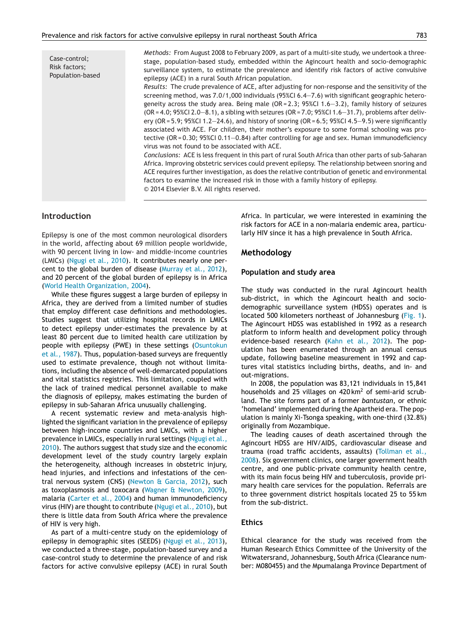Case-control; Risk factors; Population-based *Methods:* From August 2008 to February 2009, as part of a multi-site study, we undertook a threestage, population-based study, embedded within the Agincourt health and socio-demographic surveillance system, to estimate the prevalence and identify risk factors of active convulsive epilepsy (ACE) in a rural South African population.

*Results:* The crude prevalence of ACE, after adjusting for non-response and the sensitivity of the screening method, was 7.0/1,000 individuals (95%CI 6.4—7.6) with significant geographic heterogeneity across the study area. Being male (OR = 2.3; 95%CI 1.6—3.2), family history of seizures  $(OR = 4.0; 95\% CI 2.0-8.1)$ , a sibling with seizures  $(OR = 7.0; 95\% CI 1.6-31.7)$ , problems after delivery (OR = 5.9; 95%CI 1.2–24.6), and history of snoring (OR = 6.5; 95%CI 4.5–9.5) were significantly associated with ACE. For children, their mother's exposure to some formal schooling was protective (OR = 0.30; 95%CI 0.11—0.84) after controlling for age and sex. Human immunodeficiency virus was not found to be associated with ACE.

*Conclusions:* ACE is less frequent in this part of rural South Africa than other parts of sub-Saharan Africa. Improving obstetric services could prevent epilepsy. The relationship between snoring and ACE requires further investigation, as does the relative contribution of genetic and environmental factors to examine the increased risk in those with a family history of epilepsy.

© 2014 Elsevier B.V. All rights reserved.

# **Introduction**

Epilepsy is one of the most common neurological disorders in the world, affecting about 69 million people worldwide, with 90 percent living in low- and middle-income countries (LMICs) ([Ngugi](#page-8-0) et [al.,](#page-8-0) [2010\).](#page-8-0) It contributes nearly one percent to the global burden of disease [\(Murray](#page-8-0) et [al.,](#page-8-0) [2012\),](#page-8-0) and 20 percent of the global burden of epilepsy is in Africa ([World](#page-9-0) [Health](#page-9-0) [Organization,](#page-9-0) [2004\).](#page-9-0)

While these figures suggest a large burden of epilepsy in Africa, they are derived from a limited number of studies that employ different case definitions and methodologies. Studies suggest that utilizing hospital records in LMICs to detect epilepsy under-estimates the prevalence by at least 80 percent due to limited health care utilization by people with epilepsy (PWE) in these settings [\(Osuntokun](#page-9-0) et [al.,](#page-9-0) [1987\).](#page-9-0) Thus, population-based surveys are frequently used to estimate prevalence, though not without limitations, including the absence of well-demarcated populations and vital statistics registries. This limitation, coupled with the lack of trained medical personnel available to make the diagnosis of epilepsy, makes estimating the burden of epilepsy in sub-Saharan Africa unusually challenging.

A recent systematic review and meta-analysis highlighted the significant variation in the prevalence of epilepsy between high-income countries and LMICs, with a higher prevalence in LMICs, especially in rural settings [\(Ngugi](#page-8-0) et [al.,](#page-8-0) [2010\).](#page-8-0) The authors suggest that study size and the economic development level of the study country largely explain the heterogeneity, although increases in obstetric injury, head injuries, and infections and infestations of the central nervous system (CNS) [\(Newton](#page-8-0) [&](#page-8-0) [Garcia,](#page-8-0) [2012\),](#page-8-0) such as toxoplasmosis and toxocara ([Wagner](#page-9-0) [&](#page-9-0) [Newton,](#page-9-0) [2009\),](#page-9-0) malaria [\(Carter](#page-8-0) et [al.,](#page-8-0) [2004\)](#page-8-0) and human immunodeficiency virus (HIV) are thought to contribute ([Ngugi](#page-8-0) et [al.,](#page-8-0) [2010\),](#page-8-0) but there is little data from South Africa where the prevalence of HIV is very high.

As part of a multi-centre study on the epidemiology of epilepsy in demographic sites (SEEDS) [\(Ngugi](#page-8-0) et [al.,](#page-8-0) [2013\),](#page-8-0) we conducted a three-stage, population-based survey and a case-control study to determine the prevalence of and risk factors for active convulsive epilepsy (ACE) in rural South Africa. In particular, we were interested in examining the risk factors for ACE in a non-malaria endemic area, particularly HIV since it has a high prevalence in South Africa.

## **Methodology**

### **Population and study area**

The study was conducted in the rural Agincourt health sub-district, in which the Agincourt health and sociodemographic surveillance system (HDSS) operates and is located 500 kilometers northeast of Johannesburg [\(Fig.](#page-2-0) 1). The Agincourt HDSS was established in 1992 as a research platform to inform health and development policy through evidence-based research ([Kahn](#page-8-0) et [al.,](#page-8-0) [2012\).](#page-8-0) The population has been enumerated through an annual census update, following baseline measurement in 1992 and captures vital statistics including births, deaths, and in- and out-migrations.

In 2008, the population was 83,121 individuals in 15,841 households and 25 villages on  $420 \mathrm{km^2}$  of semi-arid scrubland. The site forms part of a former *bantustan*, or ethnic 'homeland' implemented during the Apartheid era. The population is mainly Xi-Tsonga speaking, with one-third (32.8%) originally from Mozambique.

The leading causes of death ascertained through the Agincourt HDSS are HIV/AIDS, cardiovascular disease and trauma (road traffic accidents, assaults) [\(Tollman](#page-9-0) et [al.,](#page-9-0) [2008\).](#page-9-0) Six government clinics, one larger government health centre, and one public-private community health centre, with its main focus being HIV and tuberculosis, provide primary health care services for the population. Referrals are to three government district hospitals located 25 to 55 km from the sub-district.

# **Ethics**

Ethical clearance for the study was received from the Human Research Ethics Committee of the University of the Witwatersrand, Johannesburg, South Africa (Clearance number: M080455) and the Mpumalanga Province Department of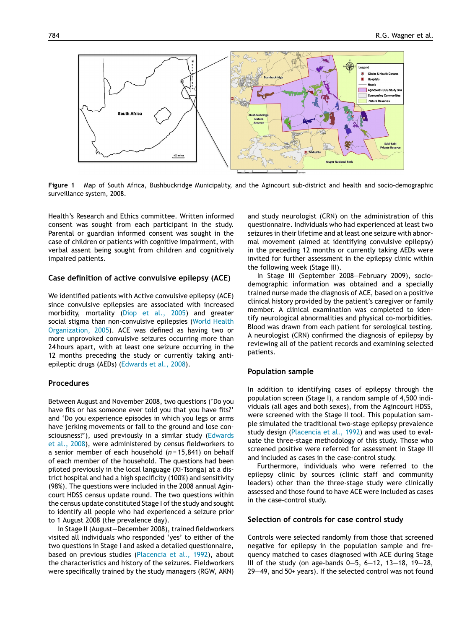<span id="page-2-0"></span>

**Figure 1** Map of South Africa, Bushbuckridge Municipality, and the Agincourt sub-district and health and socio-demographic surveillance system, 2008.

Health's Research and Ethics committee. Written informed consent was sought from each participant in the study. Parental or guardian informed consent was sought in the case of children or patients with cognitive impairment, with verbal assent being sought from children and cognitively impaired patients.

### **Case definition of active convulsive epilepsy (ACE)**

We identified patients with Active convulsive epilepsy (ACE) since convulsive epilepsies are associated with increased morbidity, mortality [\(Diop](#page-8-0) et [al.,](#page-8-0) [2005\)](#page-8-0) and greater social stigma than non-convulsive epilepsies ([World](#page-9-0) [Health](#page-9-0) [Organization,](#page-9-0) [2005\).](#page-9-0) ACE was defined as having two or more unprovoked convulsive seizures occurring more than 24 hours apart, with at least one seizure occurring in the 12 months preceding the study or currently taking antiepileptic drugs (AEDs) [\(Edwards](#page-8-0) et [al.,](#page-8-0) [2008\).](#page-8-0)

### **Procedures**

Between August and November 2008, two questions ('Do you have fits or has someone ever told you that you have fits?' and 'Do you experience episodes in which you legs or arms have jerking movements or fall to the ground and lose consciousness?'), used previously in a similar study ([Edwards](#page-8-0) et [al.,](#page-8-0) [2008\),](#page-8-0) were administered by census fieldworkers to a senior member of each household (*n* = 15,841) on behalf of each member of the household. The questions had been piloted previously in the local language (Xi-Tsonga) at a district hospital and had a high specificity (100%) and sensitivity (98%). The questions were included in the 2008 annual Agincourt HDSS census update round. The two questions within the census update constituted Stage I of the study and sought to identify all people who had experienced a seizure prior to 1 August 2008 (the prevalence day).

In Stage II (August—December 2008), trained fieldworkers visited all individuals who responded 'yes' to either of the two questions in Stage I and asked a detailed questionnaire, based on previous studies ([Placencia](#page-9-0) et [al.,](#page-9-0) [1992\),](#page-9-0) about the characteristics and history of the seizures. Fieldworkers were specifically trained by the study managers (RGW, AKN) and study neurologist (CRN) on the administration of this questionnaire. Individuals who had experienced at least two seizures in their lifetime and at least one seizure with abnormal movement (aimed at identifying convulsive epilepsy) in the preceding 12 months or currently taking AEDs were invited for further assessment in the epilepsy clinic within the following week (Stage III).

In Stage III (September 2008—February 2009), sociodemographic information was obtained and a specially trained nurse made the diagnosis of ACE, based on a positive clinical history provided by the patient's caregiver or family member. A clinical examination was completed to identify neurological abnormalities and physical co-morbidities. Blood was drawn from each patient for serological testing. A neurologist (CRN) confirmed the diagnosis of epilepsy by reviewing all of the patient records and examining selected patients.

### **Population sample**

In addition to identifying cases of epilepsy through the population screen (Stage I), a random sample of 4,500 individuals (all ages and both sexes), from the Agincourt HDSS, were screened with the Stage II tool. This population sample simulated the traditional two-stage epilepsy prevalence study design [\(Placencia](#page-9-0) et [al.,](#page-9-0) [1992\)](#page-9-0) and was used to evaluate the three-stage methodology of this study. Those who screened positive were referred for assessment in Stage III and included as cases in the case-control study.

Furthermore, individuals who were referred to the epilepsy clinic by sources (clinic staff and community leaders) other than the three-stage study were clinically assessed and those found to have ACE were included as cases in the case-control study.

### **Selection of controls for case control study**

Controls were selected randomly from those that screened negative for epilepsy in the population sample and frequency matched to cases diagnosed with ACE during Stage III of the study (on age-bands 0—5, 6—12, 13—18, 19—28, 29—49, and 50+ years). If the selected control was not found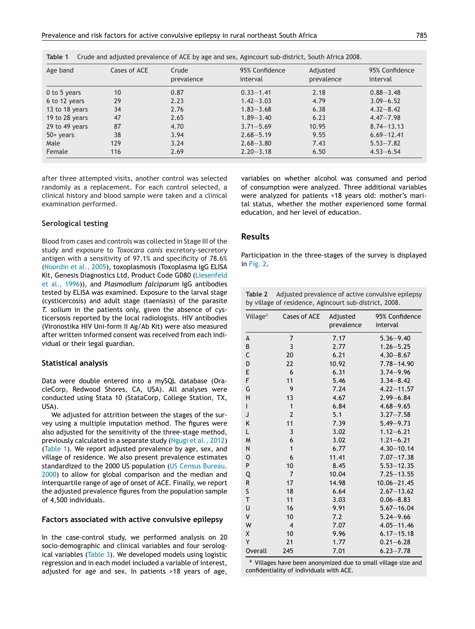<span id="page-3-0"></span>

|          |             |       | Table 1 Crude and adjusted prevalence of ACE by age and sex, Agincourt sub-district, South Africa 2008. |           |           |
|----------|-------------|-------|---------------------------------------------------------------------------------------------------------|-----------|-----------|
| Age hand | Case of ACF | Crude | 95% Confidence                                                                                          | hetzuith∆ | 95% $C_6$ |

| Age band       | Cases of ACE | Crude<br>prevalence | 95% Confidence<br>interval | Adjusted<br>prevalence | 95% Confidence<br>interval |
|----------------|--------------|---------------------|----------------------------|------------------------|----------------------------|
| 0 to 5 years   | 10           | 0.87                | $0.33 - 1.41$              | 2.18                   | $0.88 - 3.48$              |
| 6 to 12 years  | 29           | 2.23                | $1.42 - 3.03$              | 4.79                   | $3.09 - 6.52$              |
| 13 to 18 years | 34           | 2.76                | $1.83 - 3.68$              | 6.38                   | $4.32 - 8.42$              |
| 19 to 28 years | 47           | 2.65                | $1.89 - 3.40$              | 6.23                   | $4.47 - 7.98$              |
| 29 to 49 years | 87           | 4.70                | $3.71 - 5.69$              | 10.95                  | $8.74 - 13.13$             |
| $50+$ years    | 38           | 3.94                | $2.68 - 5.19$              | 9.55                   | $6.69 - 12.41$             |
| Male           | 129          | 3.24                | $2.68 - 3.80$              | 7.43                   | $5.53 - 7.82$              |
| Female         | 116          | 2.69                | $2.20 - 3.18$              | 6.50                   | $4.53 - 6.54$              |

after three attempted visits, another control was selected randomly as a replacement. For each control selected, a clinical history and blood sample were taken and a clinical examination performed.

## **Serological testing**

Blood from cases and controls was collected in Stage III of the study and exposure to *Toxocara canis* excretory-secretory antigen with a sensitivity of 97.1% and specificity of 78.6% ([Noordin](#page-8-0) et [al.,](#page-8-0) [2005\),](#page-8-0) toxoplasmosis (Toxoplasma IgG ELISA Kit, Genesis Diagnostics Ltd, Product Code GD80 [\(Liesenfeld](#page-8-0) et [al.,](#page-8-0) [1996\)\)](#page-8-0), and *Plasmodium falciparum* IgG antibodies tested by ELISA was examined. Exposure to the larval stage (cysticercosis) and adult stage (taeniasis) of the parasite *T. solium* in the patients only, given the absence of cysticersosis reported by the local radiologists. HIV antibodies (Vironostika HIV Uni-form II Ag/Ab Kit) were also measured after written informed consent was received from each individual or their legal guardian.

### **Statistical analysis**

Data were double entered into a mySQL database (OracleCorp, Redwood Shores, CA, USA). All analyses were conducted using Stata 10 (StataCorp, College Station, TX, USA).

We adjusted for attrition between the stages of the survey using a multiple imputation method. The figures were also adjusted for the sensitivity of the three-stage method, previously calculated in a separate study ([Ngugi](#page-8-0) et [al.,](#page-8-0) [2012\)](#page-8-0) (Table 1). We report adjusted prevalence by age, sex, and village of residence. We also present prevalence estimates standardized to the 2000 US population [\(US](#page-9-0) [Census](#page-9-0) [Bureau,](#page-9-0) [2000\)](#page-9-0) to allow for global comparison and the median and interquartile range of age of onset of ACE. Finally, we report the adjusted prevalence figures from the population sample of 4,500 individuals.

### **Factors associated with active convulsive epilepsy**

In the case-control study, we performed analysis on 20 socio-demographic and clinical variables and four serological variables ([Table](#page-5-0) 3). We developed models using logistic regression and in each model included a variable of interest, adjusted for age and sex. In patients >18 years of age, variables on whether alcohol was consumed and period of consumption were analyzed. Three additional variables were analyzed for patients <18 years old: mother's marital status, whether the mother experienced some formal education, and her level of education.

### **Results**

Participation in the three-stages of the survey is displayed in [Fig.](#page-4-0) 2.

**Table 2** Adjusted prevalence of active convulsive epilepsy by village of residence, Agincourt sub-district, 2008.

| Village <sup>a</sup> | <b>Cases of ACE</b> | Adjusted<br>prevalence | 95% Confidence<br>interval |
|----------------------|---------------------|------------------------|----------------------------|
| A                    | 7                   | 7.17                   | $5.36 - 9.40$              |
| B                    | $\overline{3}$      | 2.77                   | $1.26 - 5.25$              |
| C                    | 20                  | 6.21                   | $4.30 - 8.67$              |
| D                    | 22                  | 10.92                  | $7.78 - 14.90$             |
| E                    | 6                   | 6.31                   | $3.74 - 9.96$              |
| F                    | 11                  | 5.46                   | $3.34 - 8.42$              |
| G                    | 9                   | 7.24                   | $4.22 - 11.57$             |
| H                    | 13                  | 4.67                   | $2.99 - 6.84$              |
| T                    | 1                   | 6.84                   | $4.68 - 9.65$              |
| J                    | $\overline{2}$      | 5.1                    | $3.27 - 7.58$              |
| K                    | 11                  | 7.39                   | $5.49 - 9.73$              |
| L                    | 3                   | 3.02                   | $1.12 - 6.21$              |
| M                    | 6                   | 3.02                   | $1.21 - 6.21$              |
| N                    | $\mathbf{1}$        | 6.77                   | $4.30 - 10.14$             |
| 0                    | 6                   | 11.41                  | $7.07 - 17.38$             |
| P                    | 10                  | 8.45                   | $5.53 - 12.35$             |
| Q                    | $\overline{7}$      | 10.04                  | $7.25 - 13.55$             |
| R                    | 17                  | 14.98                  | $10.06 - 21.45$            |
| S                    | 18                  | 6.64                   | $2.67 - 13.62$             |
| T                    | 11                  | 3.03                   | $0.06 - 8.83$              |
| U                    | 16                  | 9.91                   | $5.67 - 16.04$             |
| V                    | 10                  | 7.2                    | $5.24 - 9.66$              |
| W                    | $\overline{4}$      | 7.07                   | $4.05 - 11.46$             |
| X                    | 10                  | 9.96                   | $6.17 - 15.18$             |
| Y                    | 21                  | 1.77                   | $0.21 - 6.28$              |
| Overall              | 245                 | 7.01                   | $6.23 - 7.78$              |

a Villages have been anonymized due to small village size and confidentiality of individuals with ACE.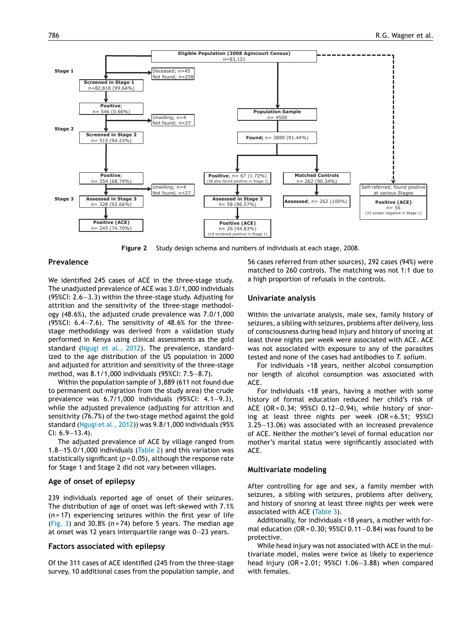<span id="page-4-0"></span>

**Figure 2** Study design schema and numbers of individuals at each stage, 2008.

### **Prevalence**

We identified 245 cases of ACE in the three-stage study. The unadjusted prevalence of ACE was 3.0/1,000 individuals (95%CI: 2.6—3.3) within the three-stage study. Adjusting for attrition and the sensitivity of the three-stage methodology (48.6%), the adjusted crude prevalence was 7.0/1,000 (95%CI:  $6.4-7.6$ ). The sensitivity of  $48.6%$  for the threestage methodology was derived from a validation study performed in Kenya using clinical assessments as the gold standard [\(Ngugi](#page-8-0) et [al.,](#page-8-0) [2012\).](#page-8-0) The prevalence, standardized to the age distribution of the US population in 2000 and adjusted for attrition and sensitivity of the three-stage method, was 8.1/1,000 individuals (95%CI: 7.5—8.7).

Within the population sample of 3,889 (611 not found due to permanent out-migration from the study area) the crude prevalence was 6.7/1,000 individuals (95%CI: 4.1—9.3), while the adjusted prevalence (adjusting for attrition and sensitivity (76.7%) of the two-stage method against the gold standard [\(Ngugi](#page-8-0) et [al.,](#page-8-0) [2012\)\)](#page-8-0) was 9.8/1,000 individuals (95% CI: 6.9—13.4).

The adjusted prevalence of ACE by village ranged from 1.8—15.0/1,000 individuals [\(Table](#page-3-0) 2) and this variation was statistically significant ( $p = 0.05$ ), although the response rate for Stage 1 and Stage 2 did not vary between villages.

### **Age of onset of epilepsy**

239 individuals reported age of onset of their seizures. The distribution of age of onset was left-skewed with 7.1% (*n* = 17) experiencing seizures within the first year of life [\(Fig.](#page-6-0) 3) and 30.8% (*n* = 74) before 5 years. The median age at onset was 12 years interquartile range was 0—23 years.

## **Factors associated with epilepsy**

Of the 311 cases of ACE identified (245 from the three-stage survey, 10 additional cases from the population sample, and 56 cases referred from other sources), 292 cases (94%) were matched to 260 controls. The matching was not 1:1 due to a high proportion of refusals in the controls.

### **Univariate analysis**

Within the univariate analysis, male sex, family history of seizures, a sibling with seizures, problems after delivery, loss of consciousness during head injury and history of snoring at least three nights per week were associated with ACE. ACE was not associated with exposure to any of the parasites tested and none of the cases had antibodies to *T. solium*.

For individuals >18 years, neither alcohol consumption nor length of alcohol consumption was associated with ACE.

For individuals <18 years, having a mother with some history of formal education reduced her child's risk of ACE (OR = 0.34; 95%CI 0.12—0.94), while history of snoring at least three nights per week (OR = 6.51; 95%CI 3.25—13.06) was associated with an increased prevalence of ACE. Neither the mother's level of formal education nor mother's marital status were significantly associated with ACE.

### **Multivariate modeling**

After controlling for age and sex, a family member with seizures, a sibling with seizures, problems after delivery, and history of snoring at least three nights per week were associated with ACE [\(Table](#page-5-0) 3).

Additionally, for individuals <18 years, a mother with formal education (OR =  $0.30$ ; 95%CI 0.11-0.84) was found to be protective.

While head injury was not associated with ACE in the multivariate model, males were twice as likely to experience head injury (OR =  $2.01$ ; 95%CI 1.06-3.88) when compared with females.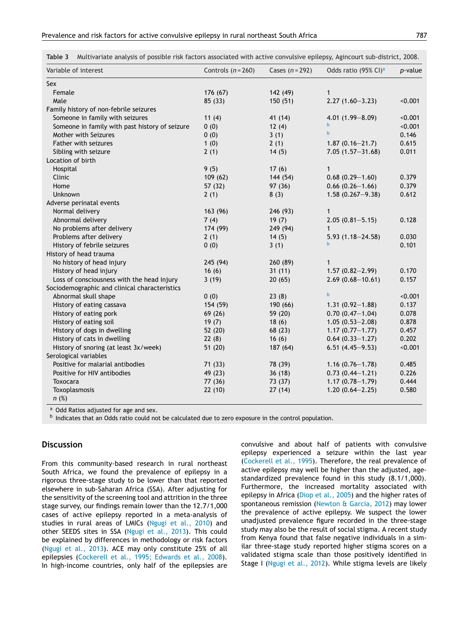<span id="page-5-0"></span>

| Table 3 |  |  | Multivariate analysis of possible risk factors associated with active convulsive epilepsy, Agincourt sub-district, 2008. |
|---------|--|--|--------------------------------------------------------------------------------------------------------------------------|
|         |  |  |                                                                                                                          |

| Variable of interest                           | Controls $(n = 260)$ | Cases $(n = 292)$ | Odds ratio (95% CI) <sup>a</sup> | p-value |
|------------------------------------------------|----------------------|-------------------|----------------------------------|---------|
| Sex                                            |                      |                   |                                  |         |
| Female                                         | 176 (67)             | 142 (49)          | $\mathbf{1}$                     |         |
| Male                                           | 85 (33)              | 150 (51)          | $2.27(1.60 - 3.23)$              | < 0.001 |
| Family history of non-febrile seizures         |                      |                   |                                  |         |
| Someone in family with seizures                | 11(4)                | 41 (14)           | $4.01(1.99 - 8.09)$              | < 0.001 |
| Someone in family with past history of seizure | 0(0)                 | 12(4)             | $\mathbf b$                      | < 0.001 |
| Mother with Seizures                           | 0(0)                 | 3(1)              | $\mathbf b$                      | 0.146   |
| Father with seizures                           | 1(0)                 | 2(1)              | $1.87(0.16 - 21.7)$              | 0.615   |
| Sibling with seizure                           | 2(1)                 | 14(5)             | $7.05(1.57 - 31.68)$             | 0.011   |
| Location of birth                              |                      |                   |                                  |         |
| Hospital                                       | 9(5)                 | 17(6)             | $\mathbf{1}$                     |         |
| Clinic                                         | 109(62)              | 144 (54)          | $0.68(0.29 - 1.60)$              | 0.379   |
| Home                                           | 57 (32)              | 97 (36)           | $0.66$ $(0.26 - 1.66)$           | 0.379   |
| Unknown                                        | 2(1)                 | 8(3)              | $1.58(0.267 - 9.38)$             | 0.612   |
| Adverse perinatal events                       |                      |                   |                                  |         |
| Normal delivery                                | 163 (96)             | 246 (93)          | $\mathbf{1}$                     |         |
| Abnormal delivery                              | 7(4)                 | 19(7)             | $2.05(0.81 - 5.15)$              | 0.128   |
| No problems after delivery                     | 174 (99)             | 249 (94)          | $\mathbf{1}$                     |         |
| Problems after delivery                        | 2(1)                 | 14(5)             | $5.93(1.18 - 24.58)$             | 0.030   |
| History of febrile seizures                    | 0(0)                 | 3(1)              | b                                | 0.101   |
| History of head trauma                         |                      |                   |                                  |         |
| No history of head injury                      | 245 (94)             | 260 (89)          | $\mathbf{1}$                     |         |
| History of head injury                         | 16(6)                | 31(11)            | $1.57(0.82 - 2.99)$              | 0.170   |
| Loss of consciousness with the head injury     | 3(19)                | 20(65)            | $2.69(0.68 - 10.61)$             | 0.157   |
| Sociodemographic and clinical characteristics  |                      |                   |                                  |         |
| Abnormal skull shape                           | 0(0)                 | 23(8)             | $\mathbf b$                      | < 0.001 |
| History of eating cassava                      | 154 (59)             | 190 (66)          | $1.31(0.92 - 1.88)$              | 0.137   |
| History of eating pork                         | 69 (26)              | 59 (20)           | $0.70(0.47 - 1.04)$              | 0.078   |
| History of eating soil                         | 19(7)                | 18(6)             | $1.05(0.53 - 2.08)$              | 0.878   |
| History of dogs in dwelling                    | 52 (20)              | 68 (23)           | $1.17(0.77 - 1.77)$              | 0.457   |
| History of cats in dwelling                    | 22(8)                | 16(6)             | $0.64(0.33 - 1.27)$              | 0.202   |
| History of snoring (at least 3x/week)          | 51(20)               | 187 (64)          | $6.51(4.45 - 9.53)$              | < 0.001 |
| Serological variables                          |                      |                   |                                  |         |
| Positive for malarial antibodies               | 71 (33)              | 78 (39)           | $1.16(0.76 - 1.78)$              | 0.485   |
| Positive for HIV antibodies                    | 49 (23)              | 36(18)            | $0.73(0.44 - 1.21)$              | 0.226   |
| Toxocara                                       | 77 (36)              | 73 (37)           | $1.17(0.78 - 1.79)$              | 0.444   |
| Toxoplasmosis                                  | 22(10)               | 27(14)            | $1.20(0.64 - 2.25)$              | 0.580   |
| $n$ (%)                                        |                      |                   |                                  |         |

<sup>a</sup> Odd Ratios adjusted for age and sex.

 $<sup>b</sup>$  Indicates that an Odds ratio could not be calculated due to zero exposure in the control population.</sup>

# **Discussion**

From this community-based research in rural northeast South Africa, we found the prevalence of epilepsy in a rigorous three-stage study to be lower than that reported elsewhere in sub-Saharan Africa (SSA). After adjusting for the sensitivity of the screening tool and attrition in the three stage survey, our findings remain lower than the 12.7/1,000 cases of active epilepsy reported in a meta-analysis of studies in rural areas of LMICs [\(Ngugi](#page-8-0) et [al.,](#page-8-0) [2010\)](#page-8-0) and other SEEDS sites in SSA [\(Ngugi](#page-8-0) et [al.,](#page-8-0) [2013\).](#page-8-0) This could be explained by differences in methodology or risk factors ([Ngugi](#page-8-0) et [al.,](#page-8-0) [2013\).](#page-8-0) ACE may only constitute 25% of all epilepsies ([Cockerell](#page-8-0) et [al.,](#page-8-0) [1995;](#page-8-0) [Edwards](#page-8-0) et [al.,](#page-8-0) [2008\).](#page-8-0) In high-income countries, only half of the epilepsies are

convulsive and about half of patients with convulsive epilepsy experienced a seizure within the last year ([Cockerell](#page-8-0) et [al.,](#page-8-0) [1995\).](#page-8-0) Therefore, the real prevalence of active epilepsy may well be higher than the adjusted, agestandardized prevalence found in this study (8.1/1,000). Furthermore, the increased mortality associated with epilepsy in Africa ([Diop](#page-8-0) et [al.,](#page-8-0) [2005\)](#page-8-0) and the higher rates of spontaneous remission [\(Newton](#page-8-0) [&](#page-8-0) [Garcia,](#page-8-0) [2012\)](#page-8-0) may lower the prevalence of active epilepsy. We suspect the lower unadjusted prevalence figure recorded in the three-stage study may also be the result of social stigma. A recent study from Kenya found that false negative individuals in a similar three-stage study reported higher stigma scores on a validated stigma scale than those positively identified in Stage I [\(Ngugi](#page-8-0) et [al.,](#page-8-0) [2012\).](#page-8-0) While stigma levels are likely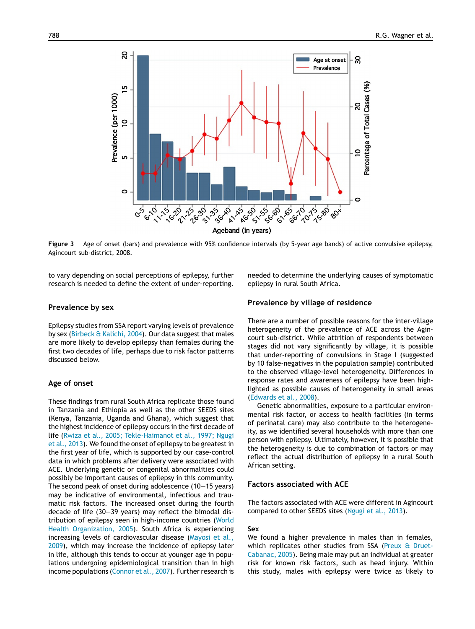<span id="page-6-0"></span>S.  $\Omega$ Age at onset Prevalence Percentage of Total Cases (%) 15 Prevalence (per 1000)  $\mathcal{S}$  $\overline{a}$  $\subseteq$ <u>ທ</u>  $\mathbf C$ 35-40-41 **10-10-20 P11-A**5 A65.55 - 3.55 15-16-20 10-15-15.80 2018-09 **Agx** , s d s s s<br>, s d s s Ageband (in years)

**Figure 3** Age of onset (bars) and prevalence with 95% confidence intervals (by 5-year age bands) of active convulsive epilepsy, Agincourt sub-district, 2008.

to vary depending on social perceptions of epilepsy, further research is needed to define the extent of under-reporting.

### **Prevalence by sex**

Epilepsy studies from SSA report varying levels of prevalence by sex ([Birbeck](#page-8-0) [&](#page-8-0) [Kalichi,](#page-8-0) [2004\).](#page-8-0) Our data suggest that males are more likely to develop epilepsy than females during the first two decades of life, perhaps due to risk factor patterns discussed below.

### **Age of onset**

These findings from rural South Africa replicate those found in Tanzania and Ethiopia as well as the other SEEDS sites (Kenya, Tanzania, Uganda and Ghana), which suggest that the highest incidence of epilepsy occurs in the first decade of life [\(Rwiza](#page-9-0) et [al.,](#page-9-0) [2005;](#page-9-0) [Tekle-Haimanot](#page-9-0) et [al.,](#page-9-0) [1997;](#page-9-0) [Ngugi](#page-9-0) et [al.,](#page-9-0) [2013\).](#page-9-0) We found the onset of epilepsy to be greatest in the first year of life, which is supported by our case-control data in which problems after delivery were associated with ACE. Underlying genetic or congenital abnormalities could possibly be important causes of epilepsy in this community. The second peak of onset during adolescence (10—15 years) may be indicative of environmental, infectious and traumatic risk factors. The increased onset during the fourth decade of life (30—39 years) may reflect the bimodal distribution of epilepsy seen in high-income countries ([World](#page-9-0) [Health](#page-9-0) [Organization,](#page-9-0) [2005\).](#page-9-0) South Africa is experiencing increasing levels of cardiovascular disease [\(Mayosi](#page-8-0) et [al.,](#page-8-0) [2009\),](#page-8-0) which may increase the incidence of epilepsy later in life, although this tends to occur at younger age in populations undergoing epidemiological transition than in high income populations [\(Connor](#page-8-0) et [al.,](#page-8-0) [2007\).](#page-8-0) Further research is needed to determine the underlying causes of symptomatic epilepsy in rural South Africa.

# **Prevalence by village of residence**

There are a number of possible reasons for the inter-village heterogeneity of the prevalence of ACE across the Agincourt sub-district. While attrition of respondents between stages did not vary significantly by village, it is possible that under-reporting of convulsions in Stage I (suggested by 10 false-negatives in the population sample) contributed to the observed village-level heterogeneity. Differences in response rates and awareness of epilepsy have been highlighted as possible causes of heterogeneity in small areas [\(Edwards](#page-8-0) et [al.,](#page-8-0) [2008\).](#page-8-0)

Genetic abnormalities, exposure to a particular environmental risk factor, or access to health facilities (in terms of perinatal care) may also contribute to the heterogeneity, as we identified several households with more than one person with epilepsy. Ultimately, however, it is possible that the heterogeneity is due to combination of factors or may reflect the actual distribution of epilepsy in a rural South African setting.

### **Factors associated with ACE**

The factors associated with ACE were different in Agincourt compared to other SEEDS sites [\(Ngugi](#page-8-0) et [al.,](#page-8-0) [2013\).](#page-8-0)

### **Sex**

We found a higher prevalence in males than in females, which replicates other studies from SSA ([Preux](#page-9-0) [&](#page-9-0) [Druet-](#page-9-0)Cabanac, [2005\).](#page-9-0) Being male may put an individual at greater risk for known risk factors, such as head injury. Within this study, males with epilepsy were twice as likely to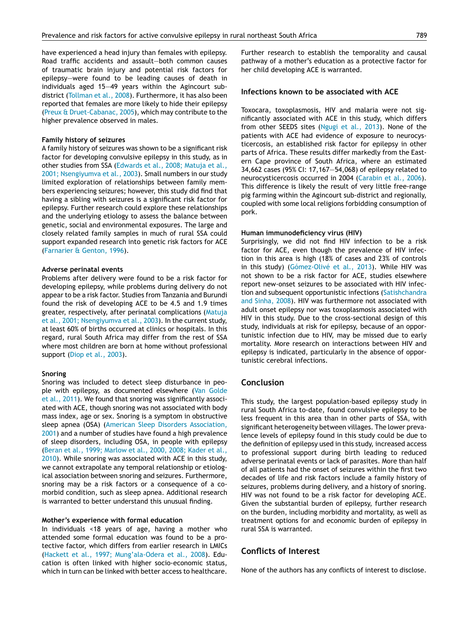have experienced a head injury than females with epilepsy. Road traffic accidents and assault—both common causes of traumatic brain injury and potential risk factors for epilepsy—were found to be leading causes of death in individuals aged 15—49 years within the Agincourt subdistrict ([Tollman](#page-9-0) et [al.,](#page-9-0) [2008\).](#page-9-0) Furthermore, it has also been reported that females are more likely to hide their epilepsy ([Preux](#page-9-0) [&](#page-9-0) [Druet-Cabanac,](#page-9-0) [2005\),](#page-9-0) which may contribute to the higher prevalence observed in males.

### **Family history of seizures**

A family history of seizures was shown to be a significant risk factor for developing convulsive epilepsy in this study, as in other studies from SSA ([Edwards](#page-8-0) et [al.,](#page-8-0) [2008;](#page-8-0) [Matuja](#page-8-0) et [al.,](#page-8-0) [2001;](#page-8-0) [Nsengiyumva](#page-8-0) et [al.,](#page-8-0) [2003\).](#page-8-0) Small numbers in our study limited exploration of relationships between family members experiencing seizures; however, this study did find that having a sibling with seizures is a significant risk factor for epilepsy. Further research could explore these relationships and the underlying etiology to assess the balance between genetic, social and environmental exposures. The large and closely related family samples in much of rural SSA could support expanded research into genetic risk factors for ACE ([Farnarier](#page-8-0) [&](#page-8-0) [Genton,](#page-8-0) [1996\).](#page-8-0)

### **Adverse perinatal events**

Problems after delivery were found to be a risk factor for developing epilepsy, while problems during delivery do not appear to be a risk factor. Studies from Tanzania and Burundi found the risk of developing ACE to be 4.5 and 1.9 times greater, respectively, after perinatal complications [\(Matuja](#page-8-0) et [al.,](#page-8-0) [2001;](#page-8-0) [Nsengiyumva](#page-8-0) et [al.,](#page-8-0) [2003\).](#page-8-0) In the current study, at least 60% of births occurred at clinics or hospitals. In this regard, rural South Africa may differ from the rest of SSA where most children are born at home without professional support ([Diop](#page-8-0) et [al.,](#page-8-0) [2003\).](#page-8-0)

#### **Snoring**

Snoring was included to detect sleep disturbance in people with epilepsy, as documented elsewhere [\(Van](#page-8-0) [Golde](#page-8-0) et [al.,](#page-8-0) [2011\).](#page-8-0) We found that snoring was significantly associated with ACE, though snoring was not associated with body mass index, age or sex. Snoring is a symptom in obstructive sleep apnea (OSA) [\(American](#page-8-0) [Sleep](#page-8-0) [Disorders](#page-8-0) [Association,](#page-8-0) [2001\)](#page-8-0) and a number of studies have found a high prevalence of sleep disorders, including OSA, in people with epilepsy ([Beran](#page-8-0) et [al.,](#page-8-0) [1999;](#page-8-0) [Marlow](#page-8-0) et [al.,](#page-8-0) [2000,](#page-8-0) [2008;](#page-8-0) [Kader](#page-8-0) et [al.,](#page-8-0) [2010\).](#page-8-0) While snoring was associated with ACE in this study, we cannot extrapolate any temporal relationship or etiological association between snoring and seizures. Furthermore, snoring may be a risk factors or a consequence of a comorbid condition, such as sleep apnea. Additional research is warranted to better understand this unusual finding.

### **Mother's experience with formal education**

In individuals <18 years of age, having a mother who attended some formal education was found to be a protective factor, which differs from earlier research in LMICs ([Hackett](#page-8-0) et [al.,](#page-8-0) [1997;](#page-8-0) [Mung'ala-Odera](#page-8-0) et [al.,](#page-8-0) [2008\).](#page-8-0) Education is often linked with higher socio-economic status, which in turn can be linked with better access to healthcare.

Further research to establish the temporality and causal pathway of a mother's education as a protective factor for her child developing ACE is warranted.

### **Infections known to be associated with ACE**

Toxocara, toxoplasmosis, HIV and malaria were not significantly associated with ACE in this study, which differs from other SEEDS sites [\(Ngugi](#page-8-0) et [al.,](#page-8-0) [2013\).](#page-8-0) None of the patients with ACE had evidence of exposure to neurocysticercosis, an established risk factor for epilepsy in other parts of Africa. These results differ markedly from the Eastern Cape province of South Africa, where an estimated 34,662 cases (95% CI: 17,167—54,068) of epilepsy related to neurocysticercosis occurred in 2004 ([Carabin](#page-8-0) et [al.,](#page-8-0) [2006\).](#page-8-0) This difference is likely the result of very little free-range pig farming within the Agincourt sub-district and regionally, coupled with some local religions forbidding consumption of pork.

### **Human immunodeficiency virus (HIV)**

Surprisingly, we did not find HIV infection to be a risk factor for ACE, even though the prevalence of HIV infection in this area is high (18% of cases and 23% of controls in this study) ([Gómez-Olivé](#page-8-0) et [al.,](#page-8-0) [2013\).](#page-8-0) While HIV was not shown to be a risk factor for ACE, studies elsewhere report new-onset seizures to be associated with HIV infection and subsequent opportunistic infections ([Satishchandra](#page-9-0) [and](#page-9-0) [Sinha,](#page-9-0) [2008\).](#page-9-0) HIV was furthermore not associated with adult onset epilepsy nor was toxoplasmosis associated with HIV in this study. Due to the cross-sectional design of this study, individuals at risk for epilepsy, because of an opportunistic infection due to HIV, may be missed due to early mortality. More research on interactions between HIV and epilepsy is indicated, particularly in the absence of opportunistic cerebral infections.

# **Conclusion**

This study, the largest population-based epilepsy study in rural South Africa to-date, found convulsive epilepsy to be less frequent in this area than in other parts of SSA, with significant heterogeneity between villages. The lower prevalence levels of epilepsy found in this study could be due to the definition of epilepsy used in this study, increased access to professional support during birth leading to reduced adverse perinatal events or lack of parasites. More than half of all patients had the onset of seizures within the first two decades of life and risk factors include a family history of seizures, problems during delivery, and a history of snoring. HIV was not found to be a risk factor for developing ACE. Given the substantial burden of epilepsy, further research on the burden, including morbidity and mortality, as well as treatment options for and economic burden of epilepsy in rural SSA is warranted.

# **Conflicts of Interest**

None of the authors has any conflicts of interest to disclose.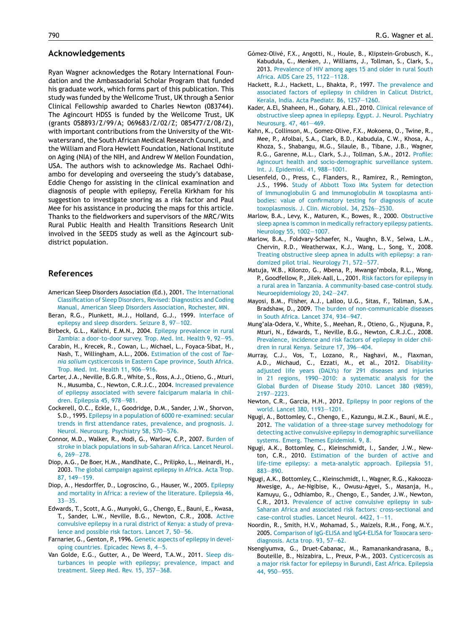### <span id="page-8-0"></span>**Acknowledgements**

Ryan Wagner acknowledges the Rotary International Foundation and the Ambassadorial Scholar Program that funded his graduate work, which forms part of this publication. This study was funded by the Wellcome Trust, UK through a Senior Clinical Fellowship awarded to Charles Newton (083744). The Agincourt HDSS is funded by the Wellcome Trust, UK (grants 058893/Z/99/A; 069683/Z/02/Z; 085477/Z/08/Z), with important contributions from the University of the Witwatersrand, the South African Medical Research Council, and the William and Flora Hewlett Foundation, National Institute on Aging (NIA) of the NIH, and Andrew W Mellon Foundation, USA. The authors wish to acknowledge Ms. Rachael Odhiambo for developing and overseeing the study's database, Eddie Chengo for assisting in the clinical examination and diagnosis of people with epilepsy, Ferella Kirkham for his suggestion to investigate snoring as a risk factor and Paul Mee for his assistance in producing the maps for this article. Thanks to the fieldworkers and supervisors of the MRC/Wits Rural Public Health and Health Transitions Research Unit involved in the SEEDS study as well as the Agincourt subdistrict population.

# **References**

- American Sleep Disorders Association (Ed.), 2001. [The](http://refhub.elsevier.com/S0920-1211(14)00017-5/sbref0005) [International](http://refhub.elsevier.com/S0920-1211(14)00017-5/sbref0005) [Classification](http://refhub.elsevier.com/S0920-1211(14)00017-5/sbref0005) [of](http://refhub.elsevier.com/S0920-1211(14)00017-5/sbref0005) [Sleep](http://refhub.elsevier.com/S0920-1211(14)00017-5/sbref0005) [Disorders,](http://refhub.elsevier.com/S0920-1211(14)00017-5/sbref0005) [Revised:](http://refhub.elsevier.com/S0920-1211(14)00017-5/sbref0005) [Diagnostics](http://refhub.elsevier.com/S0920-1211(14)00017-5/sbref0005) [and](http://refhub.elsevier.com/S0920-1211(14)00017-5/sbref0005) [Coding](http://refhub.elsevier.com/S0920-1211(14)00017-5/sbref0005) [Manual,](http://refhub.elsevier.com/S0920-1211(14)00017-5/sbref0005) [American](http://refhub.elsevier.com/S0920-1211(14)00017-5/sbref0005) [Sleep](http://refhub.elsevier.com/S0920-1211(14)00017-5/sbref0005) [Disorders](http://refhub.elsevier.com/S0920-1211(14)00017-5/sbref0005) [Association,](http://refhub.elsevier.com/S0920-1211(14)00017-5/sbref0005) [Rochester,](http://refhub.elsevier.com/S0920-1211(14)00017-5/sbref0005) [MN.](http://refhub.elsevier.com/S0920-1211(14)00017-5/sbref0005)
- Beran, R.G., Plunkett, M.J., Holland, G.J., 1999. [Interface](http://refhub.elsevier.com/S0920-1211(14)00017-5/sbref0010) [of](http://refhub.elsevier.com/S0920-1211(14)00017-5/sbref0010) [epilepsy](http://refhub.elsevier.com/S0920-1211(14)00017-5/sbref0010) [and](http://refhub.elsevier.com/S0920-1211(14)00017-5/sbref0010) [sleep](http://refhub.elsevier.com/S0920-1211(14)00017-5/sbref0010) [disorders.](http://refhub.elsevier.com/S0920-1211(14)00017-5/sbref0010) [Seizure](http://refhub.elsevier.com/S0920-1211(14)00017-5/sbref0010) [8,](http://refhub.elsevier.com/S0920-1211(14)00017-5/sbref0010) [97](http://refhub.elsevier.com/S0920-1211(14)00017-5/sbref0010)—[102.](http://refhub.elsevier.com/S0920-1211(14)00017-5/sbref0010)
- Birbeck, G.L., Kalichi, E.M.N., 2004. [Epilepsy](http://refhub.elsevier.com/S0920-1211(14)00017-5/sbref0015) [prevalence](http://refhub.elsevier.com/S0920-1211(14)00017-5/sbref0015) [in](http://refhub.elsevier.com/S0920-1211(14)00017-5/sbref0015) [rural](http://refhub.elsevier.com/S0920-1211(14)00017-5/sbref0015) [Zambia:](http://refhub.elsevier.com/S0920-1211(14)00017-5/sbref0015) [a](http://refhub.elsevier.com/S0920-1211(14)00017-5/sbref0015) [door-to-door](http://refhub.elsevier.com/S0920-1211(14)00017-5/sbref0015) [survey.](http://refhub.elsevier.com/S0920-1211(14)00017-5/sbref0015) [Trop.](http://refhub.elsevier.com/S0920-1211(14)00017-5/sbref0015) [Med.](http://refhub.elsevier.com/S0920-1211(14)00017-5/sbref0015) [Int.](http://refhub.elsevier.com/S0920-1211(14)00017-5/sbref0015) [Health](http://refhub.elsevier.com/S0920-1211(14)00017-5/sbref0015) [9,](http://refhub.elsevier.com/S0920-1211(14)00017-5/sbref0015) [92](http://refhub.elsevier.com/S0920-1211(14)00017-5/sbref0015)—[95.](http://refhub.elsevier.com/S0920-1211(14)00017-5/sbref0015)
- Carabin, H., Krecek, R., Cowan, L., Michael, L., Foyaca-Sibat, H., Nash, T., Willingham, A.L., 2006. [Estimation](http://refhub.elsevier.com/S0920-1211(14)00017-5/sbref0020) [of](http://refhub.elsevier.com/S0920-1211(14)00017-5/sbref0020) [the](http://refhub.elsevier.com/S0920-1211(14)00017-5/sbref0020) [cost](http://refhub.elsevier.com/S0920-1211(14)00017-5/sbref0020) [of](http://refhub.elsevier.com/S0920-1211(14)00017-5/sbref0020) *[Tae](http://refhub.elsevier.com/S0920-1211(14)00017-5/sbref0020)[nia](http://refhub.elsevier.com/S0920-1211(14)00017-5/sbref0020) [solium](http://refhub.elsevier.com/S0920-1211(14)00017-5/sbref0020)* [cysticercosis](http://refhub.elsevier.com/S0920-1211(14)00017-5/sbref0020) [in](http://refhub.elsevier.com/S0920-1211(14)00017-5/sbref0020) [Eastern](http://refhub.elsevier.com/S0920-1211(14)00017-5/sbref0020) [Cape](http://refhub.elsevier.com/S0920-1211(14)00017-5/sbref0020) [province,](http://refhub.elsevier.com/S0920-1211(14)00017-5/sbref0020) [South](http://refhub.elsevier.com/S0920-1211(14)00017-5/sbref0020) [Africa.](http://refhub.elsevier.com/S0920-1211(14)00017-5/sbref0020) [Trop.](http://refhub.elsevier.com/S0920-1211(14)00017-5/sbref0020) [Med.](http://refhub.elsevier.com/S0920-1211(14)00017-5/sbref0020) [Int.](http://refhub.elsevier.com/S0920-1211(14)00017-5/sbref0020) [Health](http://refhub.elsevier.com/S0920-1211(14)00017-5/sbref0020) [11,](http://refhub.elsevier.com/S0920-1211(14)00017-5/sbref0020) [906—916.](http://refhub.elsevier.com/S0920-1211(14)00017-5/sbref0020)
- Carter, J.A., Neville, B.G.R., White, S., Ross, A.J., Otieno, G., Mturi, N., Musumba, C., Newton, C.R.J.C., 2004. [Increased](http://refhub.elsevier.com/S0920-1211(14)00017-5/sbref0025) [prevalence](http://refhub.elsevier.com/S0920-1211(14)00017-5/sbref0025) [of](http://refhub.elsevier.com/S0920-1211(14)00017-5/sbref0025) [epilepsy](http://refhub.elsevier.com/S0920-1211(14)00017-5/sbref0025) [associated](http://refhub.elsevier.com/S0920-1211(14)00017-5/sbref0025) [with](http://refhub.elsevier.com/S0920-1211(14)00017-5/sbref0025) [severe](http://refhub.elsevier.com/S0920-1211(14)00017-5/sbref0025) [falciparum](http://refhub.elsevier.com/S0920-1211(14)00017-5/sbref0025) [malaria](http://refhub.elsevier.com/S0920-1211(14)00017-5/sbref0025) [in](http://refhub.elsevier.com/S0920-1211(14)00017-5/sbref0025) [chil](http://refhub.elsevier.com/S0920-1211(14)00017-5/sbref0025)[dren.](http://refhub.elsevier.com/S0920-1211(14)00017-5/sbref0025) [Epilepsia](http://refhub.elsevier.com/S0920-1211(14)00017-5/sbref0025) [45,](http://refhub.elsevier.com/S0920-1211(14)00017-5/sbref0025) [978—981.](http://refhub.elsevier.com/S0920-1211(14)00017-5/sbref0025)
- Cockerell, O.C., Eckle, I., Goodridge, D.M., Sander, J.W., Shorvon, S.D., 1995. [Epilepsy](http://refhub.elsevier.com/S0920-1211(14)00017-5/sbref0030) [in](http://refhub.elsevier.com/S0920-1211(14)00017-5/sbref0030) [a](http://refhub.elsevier.com/S0920-1211(14)00017-5/sbref0030) [population](http://refhub.elsevier.com/S0920-1211(14)00017-5/sbref0030) [of](http://refhub.elsevier.com/S0920-1211(14)00017-5/sbref0030) [6000](http://refhub.elsevier.com/S0920-1211(14)00017-5/sbref0030) [re-examined:](http://refhub.elsevier.com/S0920-1211(14)00017-5/sbref0030) [secular](http://refhub.elsevier.com/S0920-1211(14)00017-5/sbref0030) [trends](http://refhub.elsevier.com/S0920-1211(14)00017-5/sbref0030) [in](http://refhub.elsevier.com/S0920-1211(14)00017-5/sbref0030) [first](http://refhub.elsevier.com/S0920-1211(14)00017-5/sbref0030) [attendance](http://refhub.elsevier.com/S0920-1211(14)00017-5/sbref0030) [rates,](http://refhub.elsevier.com/S0920-1211(14)00017-5/sbref0030) [prevalence,](http://refhub.elsevier.com/S0920-1211(14)00017-5/sbref0030) [and](http://refhub.elsevier.com/S0920-1211(14)00017-5/sbref0030) [prognosis.](http://refhub.elsevier.com/S0920-1211(14)00017-5/sbref0030) [J.](http://refhub.elsevier.com/S0920-1211(14)00017-5/sbref0030) [Neurol.](http://refhub.elsevier.com/S0920-1211(14)00017-5/sbref0030) [Neurosurg.](http://refhub.elsevier.com/S0920-1211(14)00017-5/sbref0030) [Psychiatry](http://refhub.elsevier.com/S0920-1211(14)00017-5/sbref0030) [58,](http://refhub.elsevier.com/S0920-1211(14)00017-5/sbref0030) [570—576.](http://refhub.elsevier.com/S0920-1211(14)00017-5/sbref0030)
- Connor, M.D., Walker, R., Modi, G., Warlow, C.P., 2007. [Burden](http://refhub.elsevier.com/S0920-1211(14)00017-5/sbref0035) [of](http://refhub.elsevier.com/S0920-1211(14)00017-5/sbref0035) [stroke](http://refhub.elsevier.com/S0920-1211(14)00017-5/sbref0035) [in](http://refhub.elsevier.com/S0920-1211(14)00017-5/sbref0035) [black](http://refhub.elsevier.com/S0920-1211(14)00017-5/sbref0035) [populations](http://refhub.elsevier.com/S0920-1211(14)00017-5/sbref0035) [in](http://refhub.elsevier.com/S0920-1211(14)00017-5/sbref0035) [sub-Saharan](http://refhub.elsevier.com/S0920-1211(14)00017-5/sbref0035) [Africa.](http://refhub.elsevier.com/S0920-1211(14)00017-5/sbref0035) [Lancet](http://refhub.elsevier.com/S0920-1211(14)00017-5/sbref0035) [Neurol.](http://refhub.elsevier.com/S0920-1211(14)00017-5/sbref0035) [6,](http://refhub.elsevier.com/S0920-1211(14)00017-5/sbref0035) [269—278.](http://refhub.elsevier.com/S0920-1211(14)00017-5/sbref0035)
- Diop, A.G., De Boer, H.M., Mandlhate, C., Prilipko, L., Meinardi, H., 2003. [The](http://refhub.elsevier.com/S0920-1211(14)00017-5/sbref0040) [global](http://refhub.elsevier.com/S0920-1211(14)00017-5/sbref0040) [campaign](http://refhub.elsevier.com/S0920-1211(14)00017-5/sbref0040) [against](http://refhub.elsevier.com/S0920-1211(14)00017-5/sbref0040) [epilepsy](http://refhub.elsevier.com/S0920-1211(14)00017-5/sbref0040) [in](http://refhub.elsevier.com/S0920-1211(14)00017-5/sbref0040) [Africa.](http://refhub.elsevier.com/S0920-1211(14)00017-5/sbref0040) [Acta](http://refhub.elsevier.com/S0920-1211(14)00017-5/sbref0040) [Trop.](http://refhub.elsevier.com/S0920-1211(14)00017-5/sbref0040) [87,](http://refhub.elsevier.com/S0920-1211(14)00017-5/sbref0040) [149](http://refhub.elsevier.com/S0920-1211(14)00017-5/sbref0040)—[159.](http://refhub.elsevier.com/S0920-1211(14)00017-5/sbref0040)
- Diop, A., Hesdorffer, D., Logroscino, G., Hauser, W., 2005. [Epilepsy](http://refhub.elsevier.com/S0920-1211(14)00017-5/sbref0045) [and](http://refhub.elsevier.com/S0920-1211(14)00017-5/sbref0045) [mortality](http://refhub.elsevier.com/S0920-1211(14)00017-5/sbref0045) [in](http://refhub.elsevier.com/S0920-1211(14)00017-5/sbref0045) [Africa:](http://refhub.elsevier.com/S0920-1211(14)00017-5/sbref0045) [a](http://refhub.elsevier.com/S0920-1211(14)00017-5/sbref0045) [review](http://refhub.elsevier.com/S0920-1211(14)00017-5/sbref0045) [of](http://refhub.elsevier.com/S0920-1211(14)00017-5/sbref0045) [the](http://refhub.elsevier.com/S0920-1211(14)00017-5/sbref0045) [literature.](http://refhub.elsevier.com/S0920-1211(14)00017-5/sbref0045) [Epilepsia](http://refhub.elsevier.com/S0920-1211(14)00017-5/sbref0045) [46,](http://refhub.elsevier.com/S0920-1211(14)00017-5/sbref0045) [33—35.](http://refhub.elsevier.com/S0920-1211(14)00017-5/sbref0045)
- Edwards, T., Scott, A.G., Munyoki, G., Chengo, E., Bauni, E., Kwasa, T., Sander, L.W., Neville, B.G., Newton, C.R., 2008. [Active](http://refhub.elsevier.com/S0920-1211(14)00017-5/sbref0050) [convulsive](http://refhub.elsevier.com/S0920-1211(14)00017-5/sbref0050) [epilepsy](http://refhub.elsevier.com/S0920-1211(14)00017-5/sbref0050) [in](http://refhub.elsevier.com/S0920-1211(14)00017-5/sbref0050) [a](http://refhub.elsevier.com/S0920-1211(14)00017-5/sbref0050) [rural](http://refhub.elsevier.com/S0920-1211(14)00017-5/sbref0050) [district](http://refhub.elsevier.com/S0920-1211(14)00017-5/sbref0050) [of](http://refhub.elsevier.com/S0920-1211(14)00017-5/sbref0050) [Kenya:](http://refhub.elsevier.com/S0920-1211(14)00017-5/sbref0050) [a](http://refhub.elsevier.com/S0920-1211(14)00017-5/sbref0050) [study](http://refhub.elsevier.com/S0920-1211(14)00017-5/sbref0050) [of](http://refhub.elsevier.com/S0920-1211(14)00017-5/sbref0050) [preva](http://refhub.elsevier.com/S0920-1211(14)00017-5/sbref0050)[lence](http://refhub.elsevier.com/S0920-1211(14)00017-5/sbref0050) [and](http://refhub.elsevier.com/S0920-1211(14)00017-5/sbref0050) [possible](http://refhub.elsevier.com/S0920-1211(14)00017-5/sbref0050) [risk](http://refhub.elsevier.com/S0920-1211(14)00017-5/sbref0050) [factors.](http://refhub.elsevier.com/S0920-1211(14)00017-5/sbref0050) [Lancet](http://refhub.elsevier.com/S0920-1211(14)00017-5/sbref0050) [7,](http://refhub.elsevier.com/S0920-1211(14)00017-5/sbref0050) [50](http://refhub.elsevier.com/S0920-1211(14)00017-5/sbref0050)—[56.](http://refhub.elsevier.com/S0920-1211(14)00017-5/sbref0050)
- Farnarier, G., Genton, P., 1996. [Genetic](http://refhub.elsevier.com/S0920-1211(14)00017-5/sbref0055) [aspects](http://refhub.elsevier.com/S0920-1211(14)00017-5/sbref0055) [of](http://refhub.elsevier.com/S0920-1211(14)00017-5/sbref0055) [epilepsy](http://refhub.elsevier.com/S0920-1211(14)00017-5/sbref0055) [in](http://refhub.elsevier.com/S0920-1211(14)00017-5/sbref0055) [devel](http://refhub.elsevier.com/S0920-1211(14)00017-5/sbref0055)[oping](http://refhub.elsevier.com/S0920-1211(14)00017-5/sbref0055) [countries.](http://refhub.elsevier.com/S0920-1211(14)00017-5/sbref0055) [Epicadec](http://refhub.elsevier.com/S0920-1211(14)00017-5/sbref0055) [News](http://refhub.elsevier.com/S0920-1211(14)00017-5/sbref0055) [8,](http://refhub.elsevier.com/S0920-1211(14)00017-5/sbref0055) [4—5.](http://refhub.elsevier.com/S0920-1211(14)00017-5/sbref0055)
- Van Golde, E.G., Gutter, A., De Weerd, T.A.W., 2011. [Sleep](http://refhub.elsevier.com/S0920-1211(14)00017-5/sbref0060) [dis](http://refhub.elsevier.com/S0920-1211(14)00017-5/sbref0060)[turbances](http://refhub.elsevier.com/S0920-1211(14)00017-5/sbref0060) [in](http://refhub.elsevier.com/S0920-1211(14)00017-5/sbref0060) [people](http://refhub.elsevier.com/S0920-1211(14)00017-5/sbref0060) [with](http://refhub.elsevier.com/S0920-1211(14)00017-5/sbref0060) [epilepsy;](http://refhub.elsevier.com/S0920-1211(14)00017-5/sbref0060) [prevalence,](http://refhub.elsevier.com/S0920-1211(14)00017-5/sbref0060) [impact](http://refhub.elsevier.com/S0920-1211(14)00017-5/sbref0060) [and](http://refhub.elsevier.com/S0920-1211(14)00017-5/sbref0060) [treatment.](http://refhub.elsevier.com/S0920-1211(14)00017-5/sbref0060) [Sleep](http://refhub.elsevier.com/S0920-1211(14)00017-5/sbref0060) [Med.](http://refhub.elsevier.com/S0920-1211(14)00017-5/sbref0060) [Rev.](http://refhub.elsevier.com/S0920-1211(14)00017-5/sbref0060) [15,](http://refhub.elsevier.com/S0920-1211(14)00017-5/sbref0060) [357—368.](http://refhub.elsevier.com/S0920-1211(14)00017-5/sbref0060)
- Gómez-Olivé, F.X., Angotti, N., Houle, B., Klipstein-Grobusch, K., Kabudula, C., Menken, J., Williams, J., Tollman, S., Clark, S., 2013. [Prevalence](http://refhub.elsevier.com/S0920-1211(14)00017-5/sbref0065) [of](http://refhub.elsevier.com/S0920-1211(14)00017-5/sbref0065) [HIV](http://refhub.elsevier.com/S0920-1211(14)00017-5/sbref0065) [among](http://refhub.elsevier.com/S0920-1211(14)00017-5/sbref0065) [ages](http://refhub.elsevier.com/S0920-1211(14)00017-5/sbref0065) [15](http://refhub.elsevier.com/S0920-1211(14)00017-5/sbref0065) [and](http://refhub.elsevier.com/S0920-1211(14)00017-5/sbref0065) [older](http://refhub.elsevier.com/S0920-1211(14)00017-5/sbref0065) [in](http://refhub.elsevier.com/S0920-1211(14)00017-5/sbref0065) [rural](http://refhub.elsevier.com/S0920-1211(14)00017-5/sbref0065) [South](http://refhub.elsevier.com/S0920-1211(14)00017-5/sbref0065) [Africa.](http://refhub.elsevier.com/S0920-1211(14)00017-5/sbref0065) [AIDS](http://refhub.elsevier.com/S0920-1211(14)00017-5/sbref0065) [Care](http://refhub.elsevier.com/S0920-1211(14)00017-5/sbref0065) [25,](http://refhub.elsevier.com/S0920-1211(14)00017-5/sbref0065) [1122—1128.](http://refhub.elsevier.com/S0920-1211(14)00017-5/sbref0065)
- Hackett, R.J., Hackett, L., Bhakta, P., 1997. [The](http://refhub.elsevier.com/S0920-1211(14)00017-5/sbref0070) [prevalence](http://refhub.elsevier.com/S0920-1211(14)00017-5/sbref0070) [and](http://refhub.elsevier.com/S0920-1211(14)00017-5/sbref0070) [associated](http://refhub.elsevier.com/S0920-1211(14)00017-5/sbref0070) [factors](http://refhub.elsevier.com/S0920-1211(14)00017-5/sbref0070) [of](http://refhub.elsevier.com/S0920-1211(14)00017-5/sbref0070) [epilepsy](http://refhub.elsevier.com/S0920-1211(14)00017-5/sbref0070) [in](http://refhub.elsevier.com/S0920-1211(14)00017-5/sbref0070) [children](http://refhub.elsevier.com/S0920-1211(14)00017-5/sbref0070) [in](http://refhub.elsevier.com/S0920-1211(14)00017-5/sbref0070) [Calicut](http://refhub.elsevier.com/S0920-1211(14)00017-5/sbref0070) [District,](http://refhub.elsevier.com/S0920-1211(14)00017-5/sbref0070) [Kerala,](http://refhub.elsevier.com/S0920-1211(14)00017-5/sbref0070) [India.](http://refhub.elsevier.com/S0920-1211(14)00017-5/sbref0070) [Acta](http://refhub.elsevier.com/S0920-1211(14)00017-5/sbref0070) [Paediatr.](http://refhub.elsevier.com/S0920-1211(14)00017-5/sbref0070) [86,](http://refhub.elsevier.com/S0920-1211(14)00017-5/sbref0070) [1257—1260.](http://refhub.elsevier.com/S0920-1211(14)00017-5/sbref0070)
- Kader, A.El, Shaheen, H., Gohary, A.El., 2010. [Clinical](http://refhub.elsevier.com/S0920-1211(14)00017-5/sbref0080) [relevance](http://refhub.elsevier.com/S0920-1211(14)00017-5/sbref0080) [of](http://refhub.elsevier.com/S0920-1211(14)00017-5/sbref0080) [obstructive](http://refhub.elsevier.com/S0920-1211(14)00017-5/sbref0080) [sleep](http://refhub.elsevier.com/S0920-1211(14)00017-5/sbref0080) [apnea](http://refhub.elsevier.com/S0920-1211(14)00017-5/sbref0080) [in](http://refhub.elsevier.com/S0920-1211(14)00017-5/sbref0080) [epilepsy.](http://refhub.elsevier.com/S0920-1211(14)00017-5/sbref0080) [Egypt.](http://refhub.elsevier.com/S0920-1211(14)00017-5/sbref0080) [J.](http://refhub.elsevier.com/S0920-1211(14)00017-5/sbref0080) [Neurol.](http://refhub.elsevier.com/S0920-1211(14)00017-5/sbref0080) [Psychiatry](http://refhub.elsevier.com/S0920-1211(14)00017-5/sbref0080) [Neurosurg.](http://refhub.elsevier.com/S0920-1211(14)00017-5/sbref0080) [47,](http://refhub.elsevier.com/S0920-1211(14)00017-5/sbref0080) [461—469.](http://refhub.elsevier.com/S0920-1211(14)00017-5/sbref0080)
- Kahn, K., Collinson, M., Gomez-Olive, F.X., Mokoena, O., Twine, R., Mee, P., Afolbai, S.A., Clark, B.D., Kabudula, C.W., Khosa, A., Khoza, S., Shabangu, M.G., Silaule, B., Tibane, J.B., Wagner, R.G., Garenne, M.L., Clark, S.J., Tollman, S.M., 2012. [Profile:](http://refhub.elsevier.com/S0920-1211(14)00017-5/sbref0085) [Agincourt](http://refhub.elsevier.com/S0920-1211(14)00017-5/sbref0085) [health](http://refhub.elsevier.com/S0920-1211(14)00017-5/sbref0085) [and](http://refhub.elsevier.com/S0920-1211(14)00017-5/sbref0085) [socio-demographic](http://refhub.elsevier.com/S0920-1211(14)00017-5/sbref0085) [surveillance](http://refhub.elsevier.com/S0920-1211(14)00017-5/sbref0085) [system.](http://refhub.elsevier.com/S0920-1211(14)00017-5/sbref0085) [Int.](http://refhub.elsevier.com/S0920-1211(14)00017-5/sbref0085) [J.](http://refhub.elsevier.com/S0920-1211(14)00017-5/sbref0085) [Epidemiol.](http://refhub.elsevier.com/S0920-1211(14)00017-5/sbref0085) [41,](http://refhub.elsevier.com/S0920-1211(14)00017-5/sbref0085) [988—1001.](http://refhub.elsevier.com/S0920-1211(14)00017-5/sbref0085)
- Liesenfeld, O., Press, C., Flanders, R., Ramirez, R., Remington, J.S., 1996. [Study](http://refhub.elsevier.com/S0920-1211(14)00017-5/sbref0090) [of](http://refhub.elsevier.com/S0920-1211(14)00017-5/sbref0090) [Abbott](http://refhub.elsevier.com/S0920-1211(14)00017-5/sbref0090) [Toxo](http://refhub.elsevier.com/S0920-1211(14)00017-5/sbref0090) [IMx](http://refhub.elsevier.com/S0920-1211(14)00017-5/sbref0090) [System](http://refhub.elsevier.com/S0920-1211(14)00017-5/sbref0090) [for](http://refhub.elsevier.com/S0920-1211(14)00017-5/sbref0090) [detection](http://refhub.elsevier.com/S0920-1211(14)00017-5/sbref0090) [of](http://refhub.elsevier.com/S0920-1211(14)00017-5/sbref0090) [Immunoglobulin](http://refhub.elsevier.com/S0920-1211(14)00017-5/sbref0090) [G](http://refhub.elsevier.com/S0920-1211(14)00017-5/sbref0090) [and](http://refhub.elsevier.com/S0920-1211(14)00017-5/sbref0090) [Immunoglobulin](http://refhub.elsevier.com/S0920-1211(14)00017-5/sbref0090) [M](http://refhub.elsevier.com/S0920-1211(14)00017-5/sbref0090) [toxoplasma](http://refhub.elsevier.com/S0920-1211(14)00017-5/sbref0090) [anti](http://refhub.elsevier.com/S0920-1211(14)00017-5/sbref0090)[bodies:](http://refhub.elsevier.com/S0920-1211(14)00017-5/sbref0090) [value](http://refhub.elsevier.com/S0920-1211(14)00017-5/sbref0090) [of](http://refhub.elsevier.com/S0920-1211(14)00017-5/sbref0090) [confirmatory](http://refhub.elsevier.com/S0920-1211(14)00017-5/sbref0090) [testing](http://refhub.elsevier.com/S0920-1211(14)00017-5/sbref0090) [for](http://refhub.elsevier.com/S0920-1211(14)00017-5/sbref0090) [diagnosis](http://refhub.elsevier.com/S0920-1211(14)00017-5/sbref0090) [of](http://refhub.elsevier.com/S0920-1211(14)00017-5/sbref0090) [acute](http://refhub.elsevier.com/S0920-1211(14)00017-5/sbref0090) [toxoplasmosis.](http://refhub.elsevier.com/S0920-1211(14)00017-5/sbref0090) [J.](http://refhub.elsevier.com/S0920-1211(14)00017-5/sbref0090) [Clin.](http://refhub.elsevier.com/S0920-1211(14)00017-5/sbref0090) [Microbiol.](http://refhub.elsevier.com/S0920-1211(14)00017-5/sbref0090) [34,](http://refhub.elsevier.com/S0920-1211(14)00017-5/sbref0090) [2526—2530.](http://refhub.elsevier.com/S0920-1211(14)00017-5/sbref0090)
- Marlow, B.A., Levy, K., Maturen, K., Bowes, R., 2000. [Obstructive](http://refhub.elsevier.com/S0920-1211(14)00017-5/sbref0095) [sleep](http://refhub.elsevier.com/S0920-1211(14)00017-5/sbref0095) [apnea](http://refhub.elsevier.com/S0920-1211(14)00017-5/sbref0095) [is](http://refhub.elsevier.com/S0920-1211(14)00017-5/sbref0095) [common](http://refhub.elsevier.com/S0920-1211(14)00017-5/sbref0095) [in](http://refhub.elsevier.com/S0920-1211(14)00017-5/sbref0095) [medically](http://refhub.elsevier.com/S0920-1211(14)00017-5/sbref0095) [refractory](http://refhub.elsevier.com/S0920-1211(14)00017-5/sbref0095) [epilepsy](http://refhub.elsevier.com/S0920-1211(14)00017-5/sbref0095) [patients.](http://refhub.elsevier.com/S0920-1211(14)00017-5/sbref0095) [Neurology](http://refhub.elsevier.com/S0920-1211(14)00017-5/sbref0095) [55,](http://refhub.elsevier.com/S0920-1211(14)00017-5/sbref0095) [1002](http://refhub.elsevier.com/S0920-1211(14)00017-5/sbref0095)—[1007.](http://refhub.elsevier.com/S0920-1211(14)00017-5/sbref0095)
- Marlow, B.A., Foldvary-Schaefer, N., Vaughn, B.V., Selwa, L.M., Chervin, R.D., Weatherwax, K.J., Wang, L., Song, Y., 2008. [Treating](http://refhub.elsevier.com/S0920-1211(14)00017-5/sbref0100) [obstructive](http://refhub.elsevier.com/S0920-1211(14)00017-5/sbref0100) [sleep](http://refhub.elsevier.com/S0920-1211(14)00017-5/sbref0100) [apnea](http://refhub.elsevier.com/S0920-1211(14)00017-5/sbref0100) [in](http://refhub.elsevier.com/S0920-1211(14)00017-5/sbref0100) [adults](http://refhub.elsevier.com/S0920-1211(14)00017-5/sbref0100) [with](http://refhub.elsevier.com/S0920-1211(14)00017-5/sbref0100) [epilepsy:](http://refhub.elsevier.com/S0920-1211(14)00017-5/sbref0100) [a](http://refhub.elsevier.com/S0920-1211(14)00017-5/sbref0100) [ran](http://refhub.elsevier.com/S0920-1211(14)00017-5/sbref0100)[domized](http://refhub.elsevier.com/S0920-1211(14)00017-5/sbref0100) [pilot](http://refhub.elsevier.com/S0920-1211(14)00017-5/sbref0100) [trial.](http://refhub.elsevier.com/S0920-1211(14)00017-5/sbref0100) [Neurology](http://refhub.elsevier.com/S0920-1211(14)00017-5/sbref0100) [71,](http://refhub.elsevier.com/S0920-1211(14)00017-5/sbref0100) [572—577.](http://refhub.elsevier.com/S0920-1211(14)00017-5/sbref0100)
- Matuja, W.B., Kilonzo, G., Mbena, P., Mwango'mbola, R.L., Wong, P., Goodfellow, P., Jilek-Aall, L., 2001. [Risk](http://refhub.elsevier.com/S0920-1211(14)00017-5/sbref0105) [factors](http://refhub.elsevier.com/S0920-1211(14)00017-5/sbref0105) [for](http://refhub.elsevier.com/S0920-1211(14)00017-5/sbref0105) [epilepsy](http://refhub.elsevier.com/S0920-1211(14)00017-5/sbref0105) [in](http://refhub.elsevier.com/S0920-1211(14)00017-5/sbref0105) [a](http://refhub.elsevier.com/S0920-1211(14)00017-5/sbref0105) [rural](http://refhub.elsevier.com/S0920-1211(14)00017-5/sbref0105) [area](http://refhub.elsevier.com/S0920-1211(14)00017-5/sbref0105) [in](http://refhub.elsevier.com/S0920-1211(14)00017-5/sbref0105) [Tanzania.](http://refhub.elsevier.com/S0920-1211(14)00017-5/sbref0105) [A](http://refhub.elsevier.com/S0920-1211(14)00017-5/sbref0105) [community-based](http://refhub.elsevier.com/S0920-1211(14)00017-5/sbref0105) [case-control](http://refhub.elsevier.com/S0920-1211(14)00017-5/sbref0105) [study.](http://refhub.elsevier.com/S0920-1211(14)00017-5/sbref0105) [Neuroepidemiology](http://refhub.elsevier.com/S0920-1211(14)00017-5/sbref0105) [20,](http://refhub.elsevier.com/S0920-1211(14)00017-5/sbref0105) [242—247.](http://refhub.elsevier.com/S0920-1211(14)00017-5/sbref0105)
- Mayosi, B.M., Flisher, A.J., Lalloo, U.G., Sitas, F., Tollman, S.M., Bradshaw, D., 2009. [The](http://refhub.elsevier.com/S0920-1211(14)00017-5/sbref0110) [burden](http://refhub.elsevier.com/S0920-1211(14)00017-5/sbref0110) [of](http://refhub.elsevier.com/S0920-1211(14)00017-5/sbref0110) [non-communicable](http://refhub.elsevier.com/S0920-1211(14)00017-5/sbref0110) [diseases](http://refhub.elsevier.com/S0920-1211(14)00017-5/sbref0110) [in](http://refhub.elsevier.com/S0920-1211(14)00017-5/sbref0110) [South](http://refhub.elsevier.com/S0920-1211(14)00017-5/sbref0110) [Africa.](http://refhub.elsevier.com/S0920-1211(14)00017-5/sbref0110) [Lancet](http://refhub.elsevier.com/S0920-1211(14)00017-5/sbref0110) [374,](http://refhub.elsevier.com/S0920-1211(14)00017-5/sbref0110) [934](http://refhub.elsevier.com/S0920-1211(14)00017-5/sbref0110)—[947.](http://refhub.elsevier.com/S0920-1211(14)00017-5/sbref0110)
- Mung'ala-Odera, V., White, S., Meehan, R., Otieno, G., Njuguna, P., Mturi, N., Edwards, T., Neville, B.G., Newton, C.R.J.C., 2008. [Prevalence,](http://refhub.elsevier.com/S0920-1211(14)00017-5/sbref0115) [incidence](http://refhub.elsevier.com/S0920-1211(14)00017-5/sbref0115) [and](http://refhub.elsevier.com/S0920-1211(14)00017-5/sbref0115) [risk](http://refhub.elsevier.com/S0920-1211(14)00017-5/sbref0115) [factors](http://refhub.elsevier.com/S0920-1211(14)00017-5/sbref0115) [of](http://refhub.elsevier.com/S0920-1211(14)00017-5/sbref0115) [epilepsy](http://refhub.elsevier.com/S0920-1211(14)00017-5/sbref0115) [in](http://refhub.elsevier.com/S0920-1211(14)00017-5/sbref0115) [older](http://refhub.elsevier.com/S0920-1211(14)00017-5/sbref0115) [chil](http://refhub.elsevier.com/S0920-1211(14)00017-5/sbref0115)[dren](http://refhub.elsevier.com/S0920-1211(14)00017-5/sbref0115) [in](http://refhub.elsevier.com/S0920-1211(14)00017-5/sbref0115) [rural](http://refhub.elsevier.com/S0920-1211(14)00017-5/sbref0115) [Kenya.](http://refhub.elsevier.com/S0920-1211(14)00017-5/sbref0115) [Seizure](http://refhub.elsevier.com/S0920-1211(14)00017-5/sbref0115) [17,](http://refhub.elsevier.com/S0920-1211(14)00017-5/sbref0115) [396](http://refhub.elsevier.com/S0920-1211(14)00017-5/sbref0115)—[404.](http://refhub.elsevier.com/S0920-1211(14)00017-5/sbref0115)
- Murray, C.J., Vos, T., Lozano, R., Naghavi, M., Flaxman, A.D., Michaud, C., Ezzati, M., et al., 2012. [Disability](http://refhub.elsevier.com/S0920-1211(14)00017-5/sbref0120)[adjusted](http://refhub.elsevier.com/S0920-1211(14)00017-5/sbref0120) [life](http://refhub.elsevier.com/S0920-1211(14)00017-5/sbref0120) [years](http://refhub.elsevier.com/S0920-1211(14)00017-5/sbref0120) [\(DALYs\)](http://refhub.elsevier.com/S0920-1211(14)00017-5/sbref0120) [for](http://refhub.elsevier.com/S0920-1211(14)00017-5/sbref0120) [291](http://refhub.elsevier.com/S0920-1211(14)00017-5/sbref0120) [diseases](http://refhub.elsevier.com/S0920-1211(14)00017-5/sbref0120) [and](http://refhub.elsevier.com/S0920-1211(14)00017-5/sbref0120) [injuries](http://refhub.elsevier.com/S0920-1211(14)00017-5/sbref0120) [in](http://refhub.elsevier.com/S0920-1211(14)00017-5/sbref0120) [21](http://refhub.elsevier.com/S0920-1211(14)00017-5/sbref0120) [regions,](http://refhub.elsevier.com/S0920-1211(14)00017-5/sbref0120) [1990](http://refhub.elsevier.com/S0920-1211(14)00017-5/sbref0120)—[2010:](http://refhub.elsevier.com/S0920-1211(14)00017-5/sbref0120) [a](http://refhub.elsevier.com/S0920-1211(14)00017-5/sbref0120) [systematic](http://refhub.elsevier.com/S0920-1211(14)00017-5/sbref0120) [analysis](http://refhub.elsevier.com/S0920-1211(14)00017-5/sbref0120) [for](http://refhub.elsevier.com/S0920-1211(14)00017-5/sbref0120) [the](http://refhub.elsevier.com/S0920-1211(14)00017-5/sbref0120) [Global](http://refhub.elsevier.com/S0920-1211(14)00017-5/sbref0120) [Burden](http://refhub.elsevier.com/S0920-1211(14)00017-5/sbref0120) [of](http://refhub.elsevier.com/S0920-1211(14)00017-5/sbref0120) [Disease](http://refhub.elsevier.com/S0920-1211(14)00017-5/sbref0120) [Study](http://refhub.elsevier.com/S0920-1211(14)00017-5/sbref0120) [2010.](http://refhub.elsevier.com/S0920-1211(14)00017-5/sbref0120) [Lancet](http://refhub.elsevier.com/S0920-1211(14)00017-5/sbref0120) [380](http://refhub.elsevier.com/S0920-1211(14)00017-5/sbref0120) [\(9859\),](http://refhub.elsevier.com/S0920-1211(14)00017-5/sbref0120) [2197](http://refhub.elsevier.com/S0920-1211(14)00017-5/sbref0120)—[2223.](http://refhub.elsevier.com/S0920-1211(14)00017-5/sbref0120)
- Newton, C.R., Garcia, H.H., 2012. [Epilepsy](http://refhub.elsevier.com/S0920-1211(14)00017-5/sbref0130) [in](http://refhub.elsevier.com/S0920-1211(14)00017-5/sbref0130) [poor](http://refhub.elsevier.com/S0920-1211(14)00017-5/sbref0130) [regions](http://refhub.elsevier.com/S0920-1211(14)00017-5/sbref0130) [of](http://refhub.elsevier.com/S0920-1211(14)00017-5/sbref0130) [the](http://refhub.elsevier.com/S0920-1211(14)00017-5/sbref0130) [world.](http://refhub.elsevier.com/S0920-1211(14)00017-5/sbref0130) [Lancet](http://refhub.elsevier.com/S0920-1211(14)00017-5/sbref0130) [380,](http://refhub.elsevier.com/S0920-1211(14)00017-5/sbref0130) [1193](http://refhub.elsevier.com/S0920-1211(14)00017-5/sbref0130)—[1201.](http://refhub.elsevier.com/S0920-1211(14)00017-5/sbref0130)
- Ngugi, A., Bottomley, C., Chengo, E., Kazungu, M.Z.K., Bauni, M.E., 2012. [The](http://refhub.elsevier.com/S0920-1211(14)00017-5/sbref0135) [validation](http://refhub.elsevier.com/S0920-1211(14)00017-5/sbref0135) [of](http://refhub.elsevier.com/S0920-1211(14)00017-5/sbref0135) [a](http://refhub.elsevier.com/S0920-1211(14)00017-5/sbref0135) [three-stage](http://refhub.elsevier.com/S0920-1211(14)00017-5/sbref0135) [survey](http://refhub.elsevier.com/S0920-1211(14)00017-5/sbref0135) [methodology](http://refhub.elsevier.com/S0920-1211(14)00017-5/sbref0135) [for](http://refhub.elsevier.com/S0920-1211(14)00017-5/sbref0135) [detecting](http://refhub.elsevier.com/S0920-1211(14)00017-5/sbref0135) [active](http://refhub.elsevier.com/S0920-1211(14)00017-5/sbref0135) [convulsive](http://refhub.elsevier.com/S0920-1211(14)00017-5/sbref0135) [epilepsy](http://refhub.elsevier.com/S0920-1211(14)00017-5/sbref0135) [in](http://refhub.elsevier.com/S0920-1211(14)00017-5/sbref0135) [demographic](http://refhub.elsevier.com/S0920-1211(14)00017-5/sbref0135) [surveillance](http://refhub.elsevier.com/S0920-1211(14)00017-5/sbref0135) [systems.](http://refhub.elsevier.com/S0920-1211(14)00017-5/sbref0135) [Emerg.](http://refhub.elsevier.com/S0920-1211(14)00017-5/sbref0135) [Themes](http://refhub.elsevier.com/S0920-1211(14)00017-5/sbref0135) [Epidemiol.](http://refhub.elsevier.com/S0920-1211(14)00017-5/sbref0135) [9,](http://refhub.elsevier.com/S0920-1211(14)00017-5/sbref0135) [8.](http://refhub.elsevier.com/S0920-1211(14)00017-5/sbref0135)
- Ngugi, A.K., Bottomley, C., Kleinschmidt, I., Sander, J.W., Newton, C.R., 2010. [Estimation](http://refhub.elsevier.com/S0920-1211(14)00017-5/sbref0140) [of](http://refhub.elsevier.com/S0920-1211(14)00017-5/sbref0140) [the](http://refhub.elsevier.com/S0920-1211(14)00017-5/sbref0140) [burden](http://refhub.elsevier.com/S0920-1211(14)00017-5/sbref0140) [of](http://refhub.elsevier.com/S0920-1211(14)00017-5/sbref0140) [active](http://refhub.elsevier.com/S0920-1211(14)00017-5/sbref0140) [and](http://refhub.elsevier.com/S0920-1211(14)00017-5/sbref0140) [life-time](http://refhub.elsevier.com/S0920-1211(14)00017-5/sbref0140) [epilepsy:](http://refhub.elsevier.com/S0920-1211(14)00017-5/sbref0140) [a](http://refhub.elsevier.com/S0920-1211(14)00017-5/sbref0140) [meta-analytic](http://refhub.elsevier.com/S0920-1211(14)00017-5/sbref0140) [approach.](http://refhub.elsevier.com/S0920-1211(14)00017-5/sbref0140) [Epilepsia](http://refhub.elsevier.com/S0920-1211(14)00017-5/sbref0140) [51,](http://refhub.elsevier.com/S0920-1211(14)00017-5/sbref0140) [883—890.](http://refhub.elsevier.com/S0920-1211(14)00017-5/sbref0140)
- Ngugi, A.K., Bottomley, C., Kleinschmidt, I., Wagner, R.G., Kakooza-Mwesige, A., Ae-Ngibise, K., Owusu-Agyei, S., Masanja, H., Kamuyu, G., Odhiambo, R., Chengo, E., Sander, J.W., Newton, C.R., 2013. [Prevalence](http://refhub.elsevier.com/S0920-1211(14)00017-5/sbref0145) [of](http://refhub.elsevier.com/S0920-1211(14)00017-5/sbref0145) [active](http://refhub.elsevier.com/S0920-1211(14)00017-5/sbref0145) [convulsive](http://refhub.elsevier.com/S0920-1211(14)00017-5/sbref0145) [epilepsy](http://refhub.elsevier.com/S0920-1211(14)00017-5/sbref0145) [in](http://refhub.elsevier.com/S0920-1211(14)00017-5/sbref0145) [sub-](http://refhub.elsevier.com/S0920-1211(14)00017-5/sbref0145)[Saharan](http://refhub.elsevier.com/S0920-1211(14)00017-5/sbref0145) [Africa](http://refhub.elsevier.com/S0920-1211(14)00017-5/sbref0145) [and](http://refhub.elsevier.com/S0920-1211(14)00017-5/sbref0145) [associated](http://refhub.elsevier.com/S0920-1211(14)00017-5/sbref0145) [risk](http://refhub.elsevier.com/S0920-1211(14)00017-5/sbref0145) [factors:](http://refhub.elsevier.com/S0920-1211(14)00017-5/sbref0145) [cross-sectional](http://refhub.elsevier.com/S0920-1211(14)00017-5/sbref0145) [and](http://refhub.elsevier.com/S0920-1211(14)00017-5/sbref0145) [case-control](http://refhub.elsevier.com/S0920-1211(14)00017-5/sbref0145) [studies.](http://refhub.elsevier.com/S0920-1211(14)00017-5/sbref0145) [Lancet](http://refhub.elsevier.com/S0920-1211(14)00017-5/sbref0145) [Neurol.](http://refhub.elsevier.com/S0920-1211(14)00017-5/sbref0145) [4422,](http://refhub.elsevier.com/S0920-1211(14)00017-5/sbref0145) [1—11.](http://refhub.elsevier.com/S0920-1211(14)00017-5/sbref0145)
- Noordin, R., Smith, H.V., Mohamad, S., Maizels, R.M., Fong, M.Y., 2005. [Comparison](http://refhub.elsevier.com/S0920-1211(14)00017-5/sbref0150) [of](http://refhub.elsevier.com/S0920-1211(14)00017-5/sbref0150) [IgG-ELISA](http://refhub.elsevier.com/S0920-1211(14)00017-5/sbref0150) [and](http://refhub.elsevier.com/S0920-1211(14)00017-5/sbref0150) [IgG4-ELISA](http://refhub.elsevier.com/S0920-1211(14)00017-5/sbref0150) [for](http://refhub.elsevier.com/S0920-1211(14)00017-5/sbref0150) [Toxocara](http://refhub.elsevier.com/S0920-1211(14)00017-5/sbref0150) [sero](http://refhub.elsevier.com/S0920-1211(14)00017-5/sbref0150)[diagnosis.](http://refhub.elsevier.com/S0920-1211(14)00017-5/sbref0150) [Acta](http://refhub.elsevier.com/S0920-1211(14)00017-5/sbref0150) [trop.](http://refhub.elsevier.com/S0920-1211(14)00017-5/sbref0150) [93,](http://refhub.elsevier.com/S0920-1211(14)00017-5/sbref0150) [57—62.](http://refhub.elsevier.com/S0920-1211(14)00017-5/sbref0150)
- Nsengiyumva, G., Druet-Cabanac, M., Ramanankandrasana, B., Bouteille, B., Nsizabira, L., Preux, P-M., 2003. [Cysticercosis](http://refhub.elsevier.com/S0920-1211(14)00017-5/sbref0155) [as](http://refhub.elsevier.com/S0920-1211(14)00017-5/sbref0155) [a](http://refhub.elsevier.com/S0920-1211(14)00017-5/sbref0155) [major](http://refhub.elsevier.com/S0920-1211(14)00017-5/sbref0155) [risk](http://refhub.elsevier.com/S0920-1211(14)00017-5/sbref0155) [factor](http://refhub.elsevier.com/S0920-1211(14)00017-5/sbref0155) [for](http://refhub.elsevier.com/S0920-1211(14)00017-5/sbref0155) [epilepsy](http://refhub.elsevier.com/S0920-1211(14)00017-5/sbref0155) [in](http://refhub.elsevier.com/S0920-1211(14)00017-5/sbref0155) [Burundi,](http://refhub.elsevier.com/S0920-1211(14)00017-5/sbref0155) [East](http://refhub.elsevier.com/S0920-1211(14)00017-5/sbref0155) [Africa.](http://refhub.elsevier.com/S0920-1211(14)00017-5/sbref0155) [Epilepsia](http://refhub.elsevier.com/S0920-1211(14)00017-5/sbref0155) [44,](http://refhub.elsevier.com/S0920-1211(14)00017-5/sbref0155) [950](http://refhub.elsevier.com/S0920-1211(14)00017-5/sbref0155)—[955.](http://refhub.elsevier.com/S0920-1211(14)00017-5/sbref0155)